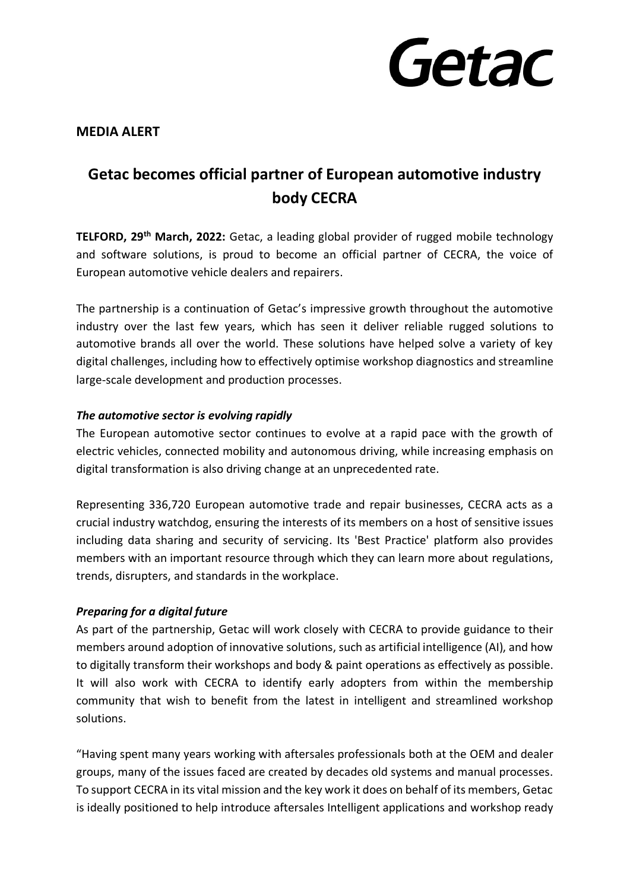

# **MEDIA ALERT**

# **Getac becomes official partner of European automotive industry body CECRA**

**TELFORD, 29 th March, 2022:** Getac, a leading global provider of rugged mobile technology and software solutions, is proud to become an official partner of CECRA, the voice of European automotive vehicle dealers and repairers.

The partnership is a continuation of Getac's impressive growth throughout the automotive industry over the last few years, which has seen it deliver reliable rugged solutions to automotive brands all over the world. These solutions have helped solve a variety of key digital challenges, including how to effectively optimise workshop diagnostics and streamline large-scale development and production processes.

## *The automotive sector is evolving rapidly*

The European automotive sector continues to evolve at a rapid pace with the growth of electric vehicles, connected mobility and autonomous driving, while increasing emphasis on digital transformation is also driving change at an unprecedented rate.

Representing 336,720 European automotive trade and repair businesses, CECRA acts as a crucial industry watchdog, ensuring the interests of its members on a host of sensitive issues including data sharing and security of servicing. Its 'Best Practice' platform also provides members with an important resource through which they can learn more about regulations, trends, disrupters, and standards in the workplace.

# *Preparing for a digital future*

As part of the partnership, Getac will work closely with CECRA to provide guidance to their members around adoption of innovative solutions, such as artificial intelligence (AI), and how to digitally transform their workshops and body & paint operations as effectively as possible. It will also work with CECRA to identify early adopters from within the membership community that wish to benefit from the latest in intelligent and streamlined workshop solutions.

"Having spent many years working with aftersales professionals both at the OEM and dealer groups, many of the issues faced are created by decades old systems and manual processes. To support CECRA in its vital mission and the key work it does on behalf of its members, Getac is ideally positioned to help introduce aftersales Intelligent applications and workshop ready